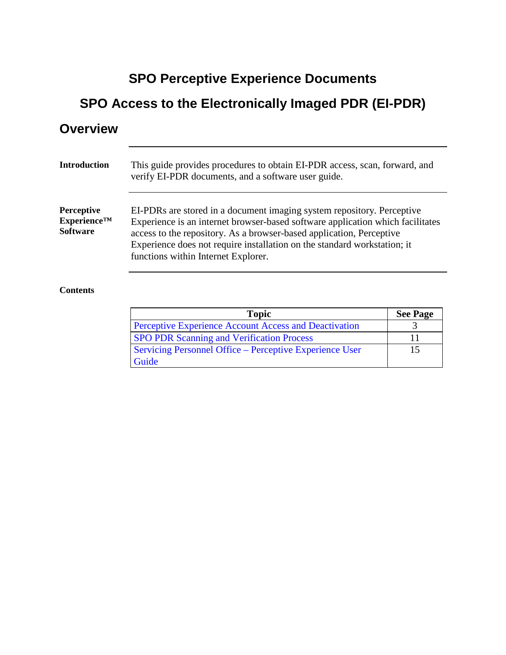## **SPO Perceptive Experience Documents**

## **SPO Access to the Electronically Imaged PDR (EI-PDR)**

### **Overview**

| <b>Introduction</b>                                                    | This guide provides procedures to obtain EI-PDR access, scan, forward, and<br>verify EI-PDR documents, and a software user guide.                                                                                                                                                                                                                   |
|------------------------------------------------------------------------|-----------------------------------------------------------------------------------------------------------------------------------------------------------------------------------------------------------------------------------------------------------------------------------------------------------------------------------------------------|
| <b>Perceptive</b><br><b>Experience<sup>TM</sup></b><br><b>Software</b> | EI-PDRs are stored in a document imaging system repository. Perceptive<br>Experience is an internet browser-based software application which facilitates<br>access to the repository. As a browser-based application, Perceptive<br>Experience does not require installation on the standard workstation; it<br>functions within Internet Explorer. |

#### **Contents**

| <b>Topic</b>                                                 | <b>See Page</b> |
|--------------------------------------------------------------|-----------------|
| <b>Perceptive Experience Account Access and Deactivation</b> |                 |
| <b>SPO PDR Scanning and Verification Process</b>             |                 |
| Servicing Personnel Office – Perceptive Experience User      | 15              |
| Guide                                                        |                 |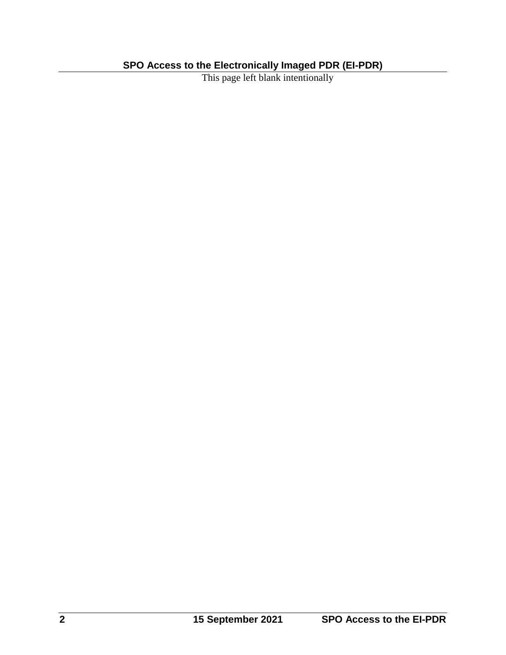### **SPO Access to the Electronically Imaged PDR (EI-PDR)**

This page left blank intentionally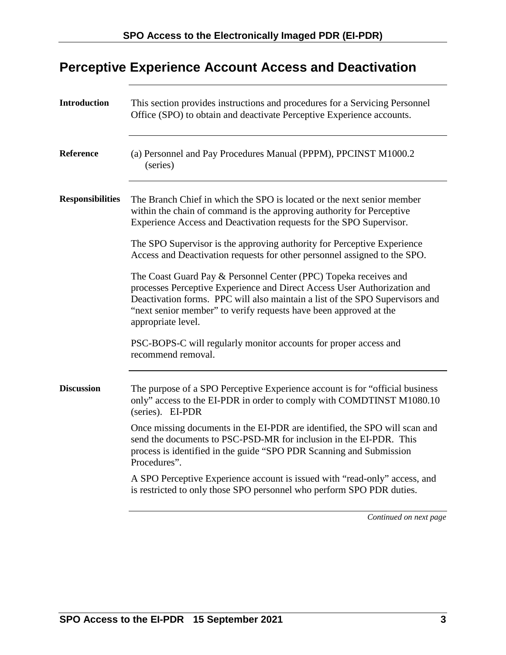<span id="page-2-0"></span>

| <b>Introduction</b>     | This section provides instructions and procedures for a Servicing Personnel<br>Office (SPO) to obtain and deactivate Perceptive Experience accounts.                                                                                                                                                                    |  |  |  |
|-------------------------|-------------------------------------------------------------------------------------------------------------------------------------------------------------------------------------------------------------------------------------------------------------------------------------------------------------------------|--|--|--|
| <b>Reference</b>        | (a) Personnel and Pay Procedures Manual (PPPM), PPCINST M1000.2<br>(series)                                                                                                                                                                                                                                             |  |  |  |
| <b>Responsibilities</b> | The Branch Chief in which the SPO is located or the next senior member<br>within the chain of command is the approving authority for Perceptive<br>Experience Access and Deactivation requests for the SPO Supervisor.                                                                                                  |  |  |  |
|                         | The SPO Supervisor is the approving authority for Perceptive Experience<br>Access and Deactivation requests for other personnel assigned to the SPO.                                                                                                                                                                    |  |  |  |
|                         | The Coast Guard Pay & Personnel Center (PPC) Topeka receives and<br>processes Perceptive Experience and Direct Access User Authorization and<br>Deactivation forms. PPC will also maintain a list of the SPO Supervisors and<br>"next senior member" to verify requests have been approved at the<br>appropriate level. |  |  |  |
|                         | PSC-BOPS-C will regularly monitor accounts for proper access and<br>recommend removal.                                                                                                                                                                                                                                  |  |  |  |
| <b>Discussion</b>       | The purpose of a SPO Perceptive Experience account is for "official business"<br>only" access to the EI-PDR in order to comply with COMDTINST M1080.10<br>(series). EI-PDR                                                                                                                                              |  |  |  |
|                         | Once missing documents in the EI-PDR are identified, the SPO will scan and<br>send the documents to PSC-PSD-MR for inclusion in the EI-PDR. This<br>process is identified in the guide "SPO PDR Scanning and Submission<br>Procedures".                                                                                 |  |  |  |
|                         | A SPO Perceptive Experience account is issued with "read-only" access, and<br>is restricted to only those SPO personnel who perform SPO PDR duties.                                                                                                                                                                     |  |  |  |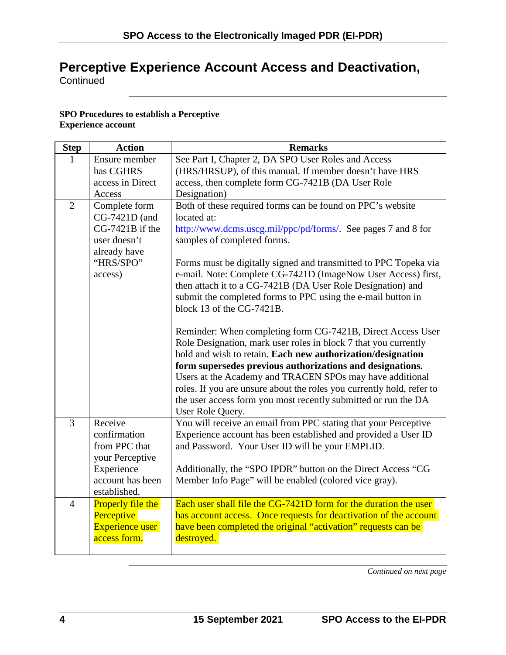Continued

#### **SPO Procedures to establish a Perceptive Experience account**

| <b>Step</b>    | <b>Action</b>            | <b>Remarks</b>                                                                                                    |
|----------------|--------------------------|-------------------------------------------------------------------------------------------------------------------|
| 1              | Ensure member            | See Part I, Chapter 2, DA SPO User Roles and Access                                                               |
|                | has CGHRS                | (HRS/HRSUP), of this manual. If member doesn't have HRS                                                           |
|                | access in Direct         | access, then complete form CG-7421B (DA User Role                                                                 |
|                | Access                   | Designation)                                                                                                      |
| $\overline{2}$ | Complete form            | Both of these required forms can be found on PPC's website                                                        |
|                | CG-7421D (and            | located at:                                                                                                       |
|                | CG-7421B if the          | http://www.dcms.uscg.mil/ppc/pd/forms/. See pages 7 and 8 for                                                     |
|                | user doesn't             | samples of completed forms.                                                                                       |
|                | already have             |                                                                                                                   |
|                | "HRS/SPO"                | Forms must be digitally signed and transmitted to PPC Topeka via                                                  |
|                | access)                  | e-mail. Note: Complete CG-7421D (ImageNow User Access) first,                                                     |
|                |                          | then attach it to a CG-7421B (DA User Role Designation) and                                                       |
|                |                          | submit the completed forms to PPC using the e-mail button in                                                      |
|                |                          | block 13 of the CG-7421B.                                                                                         |
|                |                          |                                                                                                                   |
|                |                          | Reminder: When completing form CG-7421B, Direct Access User                                                       |
|                |                          | Role Designation, mark user roles in block 7 that you currently                                                   |
|                |                          | hold and wish to retain. Each new authorization/designation                                                       |
|                |                          | form supersedes previous authorizations and designations.                                                         |
|                |                          | Users at the Academy and TRACEN SPOs may have additional                                                          |
|                |                          | roles. If you are unsure about the roles you currently hold, refer to                                             |
|                |                          | the user access form you most recently submitted or run the DA                                                    |
| $\overline{3}$ | Receive                  | User Role Query.                                                                                                  |
|                | confirmation             | You will receive an email from PPC stating that your Perceptive                                                   |
|                | from PPC that            | Experience account has been established and provided a User ID<br>and Password. Your User ID will be your EMPLID. |
|                | your Perceptive          |                                                                                                                   |
|                | Experience               | Additionally, the "SPO IPDR" button on the Direct Access "CG                                                      |
|                | account has been         | Member Info Page" will be enabled (colored vice gray).                                                            |
|                | established.             |                                                                                                                   |
| $\overline{4}$ | <b>Properly file the</b> | Each user shall file the CG-7421D form for the duration the user                                                  |
|                | Perceptive               | has account access. Once requests for deactivation of the account                                                 |
|                | <b>Experience user</b>   | have been completed the original "activation" requests can be                                                     |
|                | access form.             | destroyed.                                                                                                        |
|                |                          |                                                                                                                   |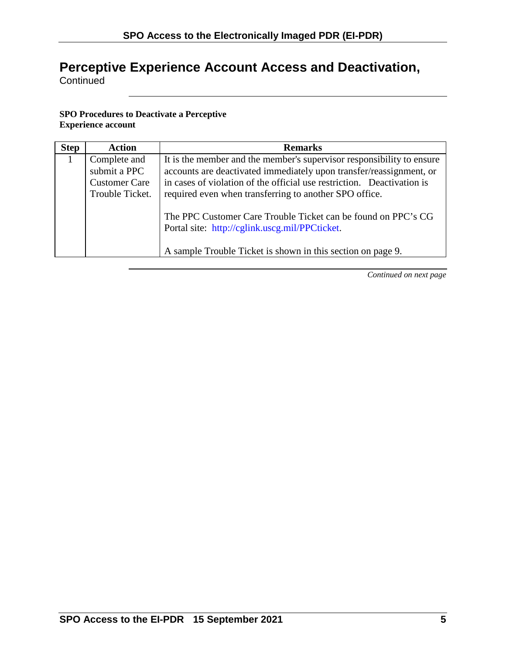Continued

#### **SPO Procedures to Deactivate a Perceptive Experience account**

| Complete and<br>$\mathbf{1}$<br>submit a PPC<br><b>Customer Care</b><br>Trouble Ticket.<br>required even when transferring to another SPO office.<br>Portal site: http://cglink.uscg.mil/PPCticket. | <b>Step</b> | <b>Action</b> | <b>Remarks</b>                                                         |
|-----------------------------------------------------------------------------------------------------------------------------------------------------------------------------------------------------|-------------|---------------|------------------------------------------------------------------------|
|                                                                                                                                                                                                     |             |               | It is the member and the member's supervisor responsibility to ensure  |
|                                                                                                                                                                                                     |             |               | accounts are deactivated immediately upon transfer/reassignment, or    |
|                                                                                                                                                                                                     |             |               | in cases of violation of the official use restriction. Deactivation is |
|                                                                                                                                                                                                     |             |               |                                                                        |
|                                                                                                                                                                                                     |             |               | The PPC Customer Care Trouble Ticket can be found on PPC's CG          |
| A sample Trouble Ticket is shown in this section on page 9.                                                                                                                                         |             |               |                                                                        |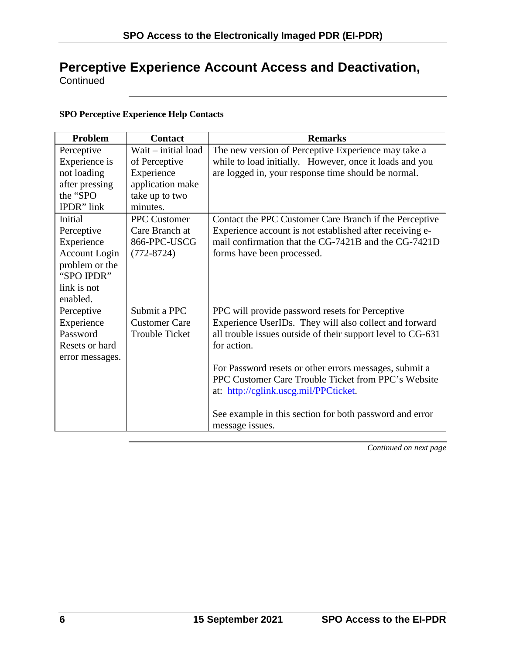Continued

### **SPO Perceptive Experience Help Contacts**

| <b>Problem</b>               | <b>Contact</b>        | <b>Remarks</b>                                                             |
|------------------------------|-----------------------|----------------------------------------------------------------------------|
| Perceptive                   | Wait - initial load   | The new version of Perceptive Experience may take a                        |
| Experience is                | of Perceptive         | while to load initially. However, once it loads and you                    |
| not loading                  | Experience            | are logged in, your response time should be normal.                        |
| after pressing               | application make      |                                                                            |
| the "SPO"                    | take up to two        |                                                                            |
| <b>IPDR</b> " link           | minutes.              |                                                                            |
| Initial                      | <b>PPC Customer</b>   | Contact the PPC Customer Care Branch if the Perceptive                     |
| Perceptive                   | Care Branch at        | Experience account is not established after receiving e-                   |
| Experience                   | 866-PPC-USCG          | mail confirmation that the CG-7421B and the CG-7421D                       |
| Account Login                | $(772 - 8724)$        | forms have been processed.                                                 |
| problem or the<br>"SPO IPDR" |                       |                                                                            |
| link is not                  |                       |                                                                            |
| enabled.                     |                       |                                                                            |
| Perceptive                   | Submit a PPC          | PPC will provide password resets for Perceptive                            |
| Experience                   | <b>Customer Care</b>  | Experience UserIDs. They will also collect and forward                     |
| Password                     | <b>Trouble Ticket</b> | all trouble issues outside of their support level to CG-631                |
| Resets or hard               |                       | for action.                                                                |
|                              |                       |                                                                            |
| error messages.              |                       | For Password resets or other errors messages, submit a                     |
|                              |                       | PPC Customer Care Trouble Ticket from PPC's Website                        |
|                              |                       | at: http://cglink.uscg.mil/PPCticket.                                      |
|                              |                       |                                                                            |
|                              |                       | See example in this section for both password and error<br>message issues. |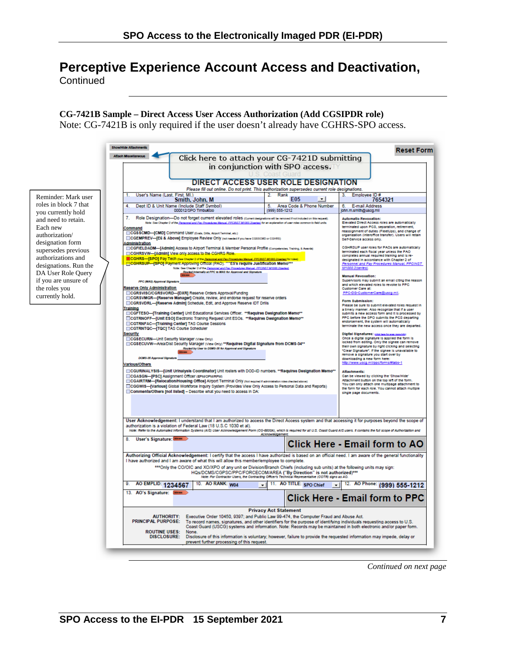**Continued** 

#### **CG-7421B Sample – Direct Access User Access Authorization (Add CGSIPDR role)**

Note: CG-7421B is only required if the user doesn't already have CGHRS-SPO access.

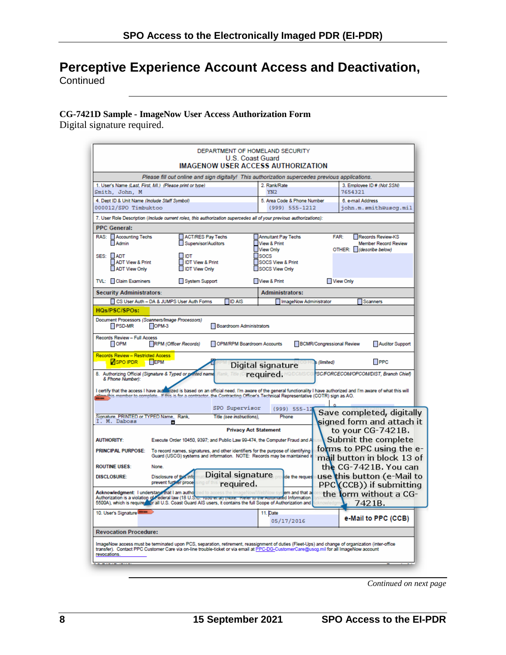Continued

### **CG-7421D Sample - ImageNow User Access Authorization Form**

Digital signature required.

|                                                                                                                                                                                                                                                                                             |                                                                                                 |                                                                                                                                                               |                                                | DEPARTMENT OF HOMELAND SECURITY                                        |                                  |                                                                                                                                                                    |                 |
|---------------------------------------------------------------------------------------------------------------------------------------------------------------------------------------------------------------------------------------------------------------------------------------------|-------------------------------------------------------------------------------------------------|---------------------------------------------------------------------------------------------------------------------------------------------------------------|------------------------------------------------|------------------------------------------------------------------------|----------------------------------|--------------------------------------------------------------------------------------------------------------------------------------------------------------------|-----------------|
|                                                                                                                                                                                                                                                                                             |                                                                                                 | <b>IMAGENOW USER ACCESS AUTHORIZATION</b>                                                                                                                     | U.S. Coast Guard                               |                                                                        |                                  |                                                                                                                                                                    |                 |
|                                                                                                                                                                                                                                                                                             | Please fill out online and sign digitally! This authorization supercedes previous applications. |                                                                                                                                                               |                                                |                                                                        |                                  |                                                                                                                                                                    |                 |
| 1. User's Name (Last, First, MI.) (Please print or type)<br>Smith, John, M                                                                                                                                                                                                                  |                                                                                                 |                                                                                                                                                               |                                                | 2. Rank/Rate<br>YN <sub>2</sub>                                        |                                  | 3. Employee ID # (Not SSN)<br>7654321                                                                                                                              |                 |
| 4. Dept ID & Unit Name (Include Staff Symbol)<br>000012/SPO Timbuktoo                                                                                                                                                                                                                       |                                                                                                 |                                                                                                                                                               |                                                | 5. Area Code & Phone Number<br>$(999)$ 555-1212                        |                                  | 6. e-mail Address<br>john.m.smith@uscg.mil                                                                                                                         |                 |
| 7. User Role Description (Include current roles, this authorization supercedes all of your previous authorizations):                                                                                                                                                                        |                                                                                                 |                                                                                                                                                               |                                                |                                                                        |                                  |                                                                                                                                                                    |                 |
| <b>PPC General:</b>                                                                                                                                                                                                                                                                         |                                                                                                 |                                                                                                                                                               |                                                |                                                                        |                                  |                                                                                                                                                                    |                 |
| RAS: Accounting Techs<br><b>Admin</b><br>SES: ADT                                                                                                                                                                                                                                           | <b>LIDT</b>                                                                                     | ACT/RES Pay Techs<br>Supervisor/Auditors                                                                                                                      |                                                | <b>Annuitant Pay Techs</b><br>View & Print<br><b>View Only</b><br>SOCS |                                  | <b>FAR:</b><br>Records Review-KS<br><b>Member Record Review</b><br>OTHER: (describe below)                                                                         |                 |
| ADT View & Print<br>ADT View Only                                                                                                                                                                                                                                                           |                                                                                                 | <b>IDT View &amp; Print</b><br><b>IDT View Only</b>                                                                                                           |                                                | <b>SOCS View &amp; Print</b><br>SOCS View Only                         |                                  |                                                                                                                                                                    |                 |
| <b>TVL:</b> Claim Examiners                                                                                                                                                                                                                                                                 |                                                                                                 | System Support                                                                                                                                                |                                                | View & Print                                                           |                                  | View Only                                                                                                                                                          |                 |
| <b>Security Administrators:</b>                                                                                                                                                                                                                                                             |                                                                                                 |                                                                                                                                                               |                                                | <b>Administrators:</b>                                                 |                                  |                                                                                                                                                                    |                 |
|                                                                                                                                                                                                                                                                                             | CS User Auth - DA & JUMPS User Auth Forms                                                       |                                                                                                                                                               | <b>ID AIS</b>                                  |                                                                        | ImageNow Administrator           | <b>Scanners</b>                                                                                                                                                    |                 |
| HOs/PSC/SPOs:                                                                                                                                                                                                                                                                               |                                                                                                 |                                                                                                                                                               |                                                |                                                                        |                                  |                                                                                                                                                                    |                 |
| Document Processors (Scanners/Image Processors)<br><b>PSD-MR</b>                                                                                                                                                                                                                            | OPM-3                                                                                           |                                                                                                                                                               | <b>Boardroom Administrators</b>                |                                                                        |                                  |                                                                                                                                                                    |                 |
| Records Review - Full Access<br><b>OPM</b>                                                                                                                                                                                                                                                  | RPM (Officer Records)                                                                           |                                                                                                                                                               | OPM/RPM Boardroom Accounts                     |                                                                        | <b>BCMR/Congressional Review</b> |                                                                                                                                                                    | Auditor Support |
| <b>Records Review - Restricted Access</b><br>SPO IPDR                                                                                                                                                                                                                                       | EPM                                                                                             |                                                                                                                                                               |                                                | Digital signature                                                      | (limited)                        | <b>T</b> PPC                                                                                                                                                       |                 |
| 8. Authorizing Official (Signature & Typed or printed name<br>& Phone Number):                                                                                                                                                                                                              |                                                                                                 |                                                                                                                                                               |                                                | required: HQ/DCMS/CG                                                   |                                  | SC/FORCECOM/OPCOM/DIST, Branch Chief)                                                                                                                              |                 |
| Unit This is for a contractor, the Contracting Officer's Technical Representative (COTR) sign as AO.                                                                                                                                                                                        |                                                                                                 |                                                                                                                                                               |                                                |                                                                        |                                  | I certify that the access I have authorized is based on an official need. I'm aware of the general functionality I have authorized and I'm aware of what this will |                 |
|                                                                                                                                                                                                                                                                                             |                                                                                                 |                                                                                                                                                               | SPO Supervisor                                 | $(999)$ 555-12                                                         |                                  |                                                                                                                                                                    |                 |
| Signature, PRINTED or TYPED Name.<br>I. M. Daboss                                                                                                                                                                                                                                           | Rank.<br>п                                                                                      |                                                                                                                                                               | Title (see instructions).                      | Phone                                                                  |                                  | Save completed, digitally<br>signed form and attach it                                                                                                             |                 |
|                                                                                                                                                                                                                                                                                             |                                                                                                 |                                                                                                                                                               | <b>Privacy Act Statement</b>                   |                                                                        |                                  | to your CG-7421B.                                                                                                                                                  |                 |
| <b>AUTHORITY:</b>                                                                                                                                                                                                                                                                           |                                                                                                 | Execute Order 10450, 9397; and Public Law 99-474, the Computer Fraud and A                                                                                    |                                                |                                                                        |                                  | Submit the complete                                                                                                                                                |                 |
| <b>PRINCIPAL PURPOSE:</b>                                                                                                                                                                                                                                                                   |                                                                                                 | To record names, signatures, and other identifiers for the purpose of identifying<br>Guard (USCG) systems and information. NOTE: Records may be maintained it |                                                |                                                                        |                                  | forms to PPC using the e-<br>mail button in block 13 of                                                                                                            |                 |
| <b>ROUTINE USES:</b>                                                                                                                                                                                                                                                                        | None.                                                                                           |                                                                                                                                                               |                                                |                                                                        |                                  | the CG-7421B. You can                                                                                                                                              |                 |
| <b>DISCLOSURE:</b>                                                                                                                                                                                                                                                                          | Disclosure of this info<br>prevent further proce                                                |                                                                                                                                                               | Digital signature $_{\circ\circ}$<br>required. |                                                                        | ide the reques                   | use this button (e-Mail to<br>PPC(CCB)) if submitting                                                                                                              |                 |
| Acknowledgment: I understand that I am autho<br>Authorization is a violation of Federal law (18 U.S. <del>C. 1030 et al) (Note: "refer to the Automate</del> d Information<br>5500A), which is required for all U.S. Coast Guard AIS users, it contains the full Scope of Authorization and |                                                                                                 |                                                                                                                                                               |                                                |                                                                        | em and that a                    | the form without a CG-<br>7421B.                                                                                                                                   |                 |
|                                                                                                                                                                                                                                                                                             |                                                                                                 |                                                                                                                                                               |                                                | 11. Date<br>05/17/2016                                                 |                                  | e-Mail to PPC (CCB)                                                                                                                                                |                 |
| 10. User's Signature                                                                                                                                                                                                                                                                        |                                                                                                 |                                                                                                                                                               |                                                |                                                                        |                                  |                                                                                                                                                                    |                 |
| <b>Revocation Procedure:</b>                                                                                                                                                                                                                                                                |                                                                                                 |                                                                                                                                                               |                                                |                                                                        |                                  |                                                                                                                                                                    |                 |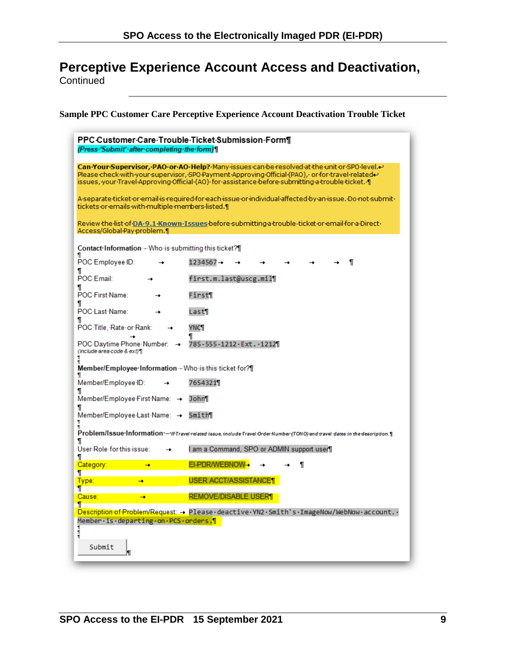Continued

### **Sample PPC Customer Care Perceptive Experience Account Deactivation Trouble Ticket**

| PPC Customer Care Trouble Ticket Submission Form¶<br>(Press·'Submit'·after·completing·the·form)¶                                                                                                                                                                                                  |  |  |  |
|---------------------------------------------------------------------------------------------------------------------------------------------------------------------------------------------------------------------------------------------------------------------------------------------------|--|--|--|
| Can Your Supervisor, PAO or AO Help? Many issues can be resolved at the unit or SPO level.<br>Please-check-with-your-supervisor, SPO-Payment-Approving-Official-(PAO), or-for-travel-related-<br>issues, your Travel Approving Official (AO) for assistance before submitting a trouble ticket. 1 |  |  |  |
| -A separate ticket or email is required for each issue or individual affected by an issue. Do not submit<br>tickets or emails with multiple members listed.                                                                                                                                       |  |  |  |
| Review the list of DA 9.1 Known Issues before submitting a trouble-ticket or email for a Direct-<br>Access/Global Pay problem.1                                                                                                                                                                   |  |  |  |
| Contact Information - Who is submitting this ticket?                                                                                                                                                                                                                                              |  |  |  |
| 1<br>POC-Employee-ID:<br>1234567→<br>¶                                                                                                                                                                                                                                                            |  |  |  |
| 1<br>POC-Email:<br>first.m.last@uscg.mil¶                                                                                                                                                                                                                                                         |  |  |  |
| 1<br>POC-First-Name:<br>First                                                                                                                                                                                                                                                                     |  |  |  |
| ¶<br>POC-Last-Name:<br>Last¶                                                                                                                                                                                                                                                                      |  |  |  |
| ¶<br>POC-Title, -Rate-or-Rank:<br>YNCI                                                                                                                                                                                                                                                            |  |  |  |
| 11<br>POC-Daytime-Phone-Number: -<br>785-555-1212 · Ext. · 1212<br>(include area code & ext)   <br>1                                                                                                                                                                                              |  |  |  |
| Member/Employee·Information--Who-is-this-ticket-for?<br>1                                                                                                                                                                                                                                         |  |  |  |
| Member/Employee-ID:<br>7654321¶<br>¶                                                                                                                                                                                                                                                              |  |  |  |
| Member/Employee First Name: →<br>John¶                                                                                                                                                                                                                                                            |  |  |  |
| ¶<br>Member/Employee Last Name: → Smith¶<br>T                                                                                                                                                                                                                                                     |  |  |  |
| Problem/Issue·Information·-'If-Travel related issue, include-Travel Order Number (TONO) and travel-dates-in the description. [                                                                                                                                                                    |  |  |  |
| ¶<br>User-Role-for-this-issue:<br>I am a Command, SPO or ADMIN support user¶                                                                                                                                                                                                                      |  |  |  |
| ¶<br>EI-PDR/WEBNOW→<br>Category:<br>¶<br>$\rightarrow$                                                                                                                                                                                                                                            |  |  |  |
| T<br>USER ACCT/ASSISTANCET<br>Type:<br>$\rightarrow$                                                                                                                                                                                                                                              |  |  |  |
| П<br>REMOVE/DISABLE USER¶<br>Cause:<br>÷                                                                                                                                                                                                                                                          |  |  |  |
| 1<br>Description of Problem/Request: - Please deactive YN2 Smith's ImageNow/WebNow account.                                                                                                                                                                                                       |  |  |  |
| Member is departing on PCS orders.<br>ŧ                                                                                                                                                                                                                                                           |  |  |  |
| Submit<br>Π                                                                                                                                                                                                                                                                                       |  |  |  |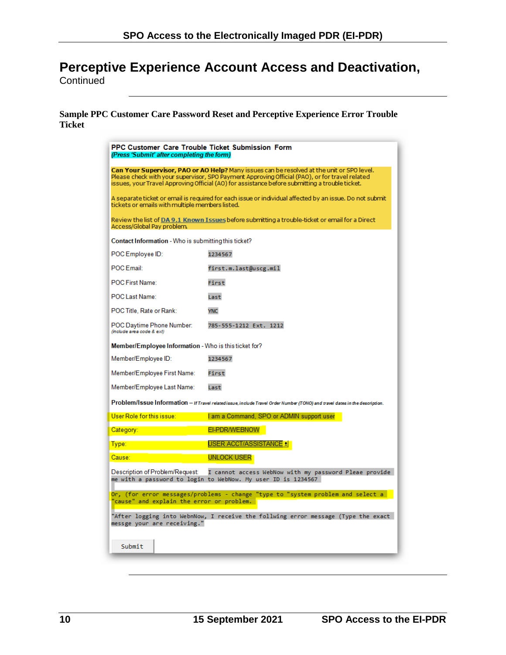Continued

**Sample PPC Customer Care Password Reset and Perceptive Experience Error Trouble Ticket** 

| PPC Customer Care Trouble Ticket Submission Form<br>(Press 'Submit' after completing the form)                                                                                                                                                                                                 |                                                                                                                              |  |  |  |
|------------------------------------------------------------------------------------------------------------------------------------------------------------------------------------------------------------------------------------------------------------------------------------------------|------------------------------------------------------------------------------------------------------------------------------|--|--|--|
| Can Your Supervisor, PAO or AO Help? Many issues can be resolved at the unit or SPO level.<br>Please check with your supervisor, SPO Payment Approving Official (PAO), or for travel related<br>issues, your Travel Approving Official (AO) for assistance before submitting a trouble ticket. |                                                                                                                              |  |  |  |
| tickets or emails with multiple members listed.                                                                                                                                                                                                                                                | A separate ticket or email is required for each issue or individual affected by an issue. Do not submit                      |  |  |  |
| Access/Global Pay problem.                                                                                                                                                                                                                                                                     | Review the list of DA 9.1 Known Issues before submitting a trouble-ticket or email for a Direct                              |  |  |  |
| Contact Information - Who is submitting this ticket?                                                                                                                                                                                                                                           |                                                                                                                              |  |  |  |
| POC Employee ID:                                                                                                                                                                                                                                                                               | 1234567                                                                                                                      |  |  |  |
| POC Email:                                                                                                                                                                                                                                                                                     | first.m.last@uscg.mil                                                                                                        |  |  |  |
| <b>POC First Name:</b>                                                                                                                                                                                                                                                                         | First                                                                                                                        |  |  |  |
| <b>POC Last Name:</b>                                                                                                                                                                                                                                                                          | Last                                                                                                                         |  |  |  |
| POC Title, Rate or Rank:                                                                                                                                                                                                                                                                       | <b>YNC</b>                                                                                                                   |  |  |  |
| POC Davtime Phone Number:<br>(include area code & ext)                                                                                                                                                                                                                                         | 785-555-1212 Ext. 1212                                                                                                       |  |  |  |
| Member/Employee Information - Who is this ticket for?                                                                                                                                                                                                                                          |                                                                                                                              |  |  |  |
| Member/Employee ID:                                                                                                                                                                                                                                                                            | 1234567                                                                                                                      |  |  |  |
| Member/Employee First Name:<br>First                                                                                                                                                                                                                                                           |                                                                                                                              |  |  |  |
| Member/Employee Last Name:                                                                                                                                                                                                                                                                     | Last                                                                                                                         |  |  |  |
|                                                                                                                                                                                                                                                                                                | Problem/Issue Information - If Travel related issue, include Travel Order Number (TONO) and travel dates in the description. |  |  |  |
| User Role for this issue:                                                                                                                                                                                                                                                                      | I am a Command, SPO or ADMIN support user                                                                                    |  |  |  |
| Category:                                                                                                                                                                                                                                                                                      | EI-PDR/WEBNOW                                                                                                                |  |  |  |
| Type:                                                                                                                                                                                                                                                                                          | USER ACCT/ASSISTANCE <del>±</del> ∣                                                                                          |  |  |  |
| Cause:                                                                                                                                                                                                                                                                                         | <b>UNLOCK USER</b>                                                                                                           |  |  |  |
| Description of Problem/Request:<br>I cannot access WebNow with my password Pleae provide<br>me with a password to login to WebNow. My user ID is 1234567                                                                                                                                       |                                                                                                                              |  |  |  |
| "cause" and explain the error or problem.                                                                                                                                                                                                                                                      | Or, (for error messages/problems - change "type to "system problem and select a                                              |  |  |  |
| "After logging into WebnNow, I receive the follwing error message (Type the exact<br>messge your are receiving."                                                                                                                                                                               |                                                                                                                              |  |  |  |
| Submit                                                                                                                                                                                                                                                                                         |                                                                                                                              |  |  |  |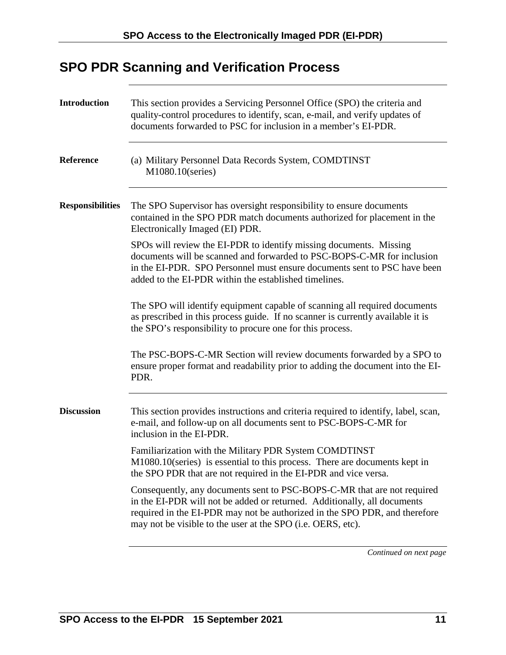## **SPO PDR Scanning and Verification Process**

<span id="page-10-0"></span>

| <b>Introduction</b>     | This section provides a Servicing Personnel Office (SPO) the criteria and<br>quality-control procedures to identify, scan, e-mail, and verify updates of<br>documents forwarded to PSC for inclusion in a member's EI-PDR.                                                                       |  |  |
|-------------------------|--------------------------------------------------------------------------------------------------------------------------------------------------------------------------------------------------------------------------------------------------------------------------------------------------|--|--|
| Reference               | (a) Military Personnel Data Records System, COMDTINST<br>M1080.10(series)                                                                                                                                                                                                                        |  |  |
| <b>Responsibilities</b> | The SPO Supervisor has oversight responsibility to ensure documents<br>contained in the SPO PDR match documents authorized for placement in the<br>Electronically Imaged (EI) PDR.                                                                                                               |  |  |
|                         | SPOs will review the EI-PDR to identify missing documents. Missing<br>documents will be scanned and forwarded to PSC-BOPS-C-MR for inclusion<br>in the EI-PDR. SPO Personnel must ensure documents sent to PSC have been<br>added to the EI-PDR within the established timelines.                |  |  |
|                         | The SPO will identify equipment capable of scanning all required documents<br>as prescribed in this process guide. If no scanner is currently available it is<br>the SPO's responsibility to procure one for this process.                                                                       |  |  |
|                         | The PSC-BOPS-C-MR Section will review documents forwarded by a SPO to<br>ensure proper format and readability prior to adding the document into the EI-<br>PDR.                                                                                                                                  |  |  |
| <b>Discussion</b>       | This section provides instructions and criteria required to identify, label, scan,<br>e-mail, and follow-up on all documents sent to PSC-BOPS-C-MR for<br>inclusion in the EI-PDR.                                                                                                               |  |  |
|                         | Familiarization with the Military PDR System COMDTINST<br>M1080.10(series) is essential to this process. There are documents kept in<br>the SPO PDR that are not required in the EI-PDR and vice versa.                                                                                          |  |  |
|                         | Consequently, any documents sent to PSC-BOPS-C-MR that are not required<br>in the EI-PDR will not be added or returned. Additionally, all documents<br>required in the EI-PDR may not be authorized in the SPO PDR, and therefore<br>may not be visible to the user at the SPO (i.e. OERS, etc). |  |  |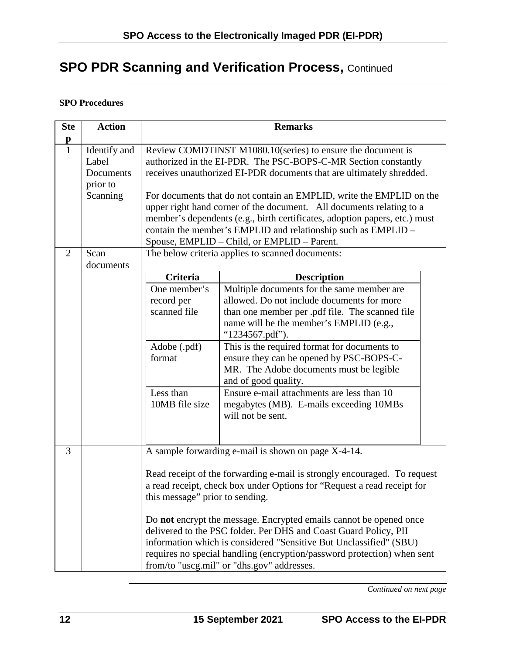## **SPO PDR Scanning and Verification Process, Continued**

### **SPO Procedures**

| <b>Ste</b>              | <b>Action</b>                                              |                                                                                                                        | <b>Remarks</b>                                                                                                                                                                                                                                                                                                                                                                                                                                                                                                                                                                                                  |  |
|-------------------------|------------------------------------------------------------|------------------------------------------------------------------------------------------------------------------------|-----------------------------------------------------------------------------------------------------------------------------------------------------------------------------------------------------------------------------------------------------------------------------------------------------------------------------------------------------------------------------------------------------------------------------------------------------------------------------------------------------------------------------------------------------------------------------------------------------------------|--|
| $\bf p$<br>$\mathbf{1}$ | Identify and<br>Label<br>Documents<br>prior to<br>Scanning |                                                                                                                        | Review COMDTINST M1080.10(series) to ensure the document is<br>authorized in the EI-PDR. The PSC-BOPS-C-MR Section constantly<br>receives unauthorized EI-PDR documents that are ultimately shredded.<br>For documents that do not contain an EMPLID, write the EMPLID on the<br>upper right hand corner of the document. All documents relating to a<br>member's dependents (e.g., birth certificates, adoption papers, etc.) must<br>contain the member's EMPLID and relationship such as EMPLID -                                                                                                            |  |
| $\overline{2}$          | Scan<br>documents                                          | <b>Criteria</b><br>One member's<br>record per<br>scanned file<br>Adobe (.pdf)<br>format<br>Less than<br>10MB file size | Spouse, EMPLID - Child, or EMPLID - Parent.<br>The below criteria applies to scanned documents:<br><b>Description</b><br>Multiple documents for the same member are<br>allowed. Do not include documents for more<br>than one member per .pdf file. The scanned file<br>name will be the member's EMPLID (e.g.,<br>"1234567.pdf").<br>This is the required format for documents to<br>ensure they can be opened by PSC-BOPS-C-<br>MR. The Adobe documents must be legible<br>and of good quality.<br>Ensure e-mail attachments are less than 10<br>megabytes (MB). E-mails exceeding 10MBs<br>will not be sent. |  |
| 3                       |                                                            | this message" prior to sending.                                                                                        | A sample forwarding e-mail is shown on page X-4-14.<br>Read receipt of the forwarding e-mail is strongly encouraged. To request<br>a read receipt, check box under Options for "Request a read receipt for<br>Do not encrypt the message. Encrypted emails cannot be opened once<br>delivered to the PSC folder. Per DHS and Coast Guard Policy, PII<br>information which is considered "Sensitive But Unclassified" (SBU)<br>requires no special handling (encryption/password protection) when sent<br>from/to "uscg.mil" or "dhs.gov" addresses.                                                             |  |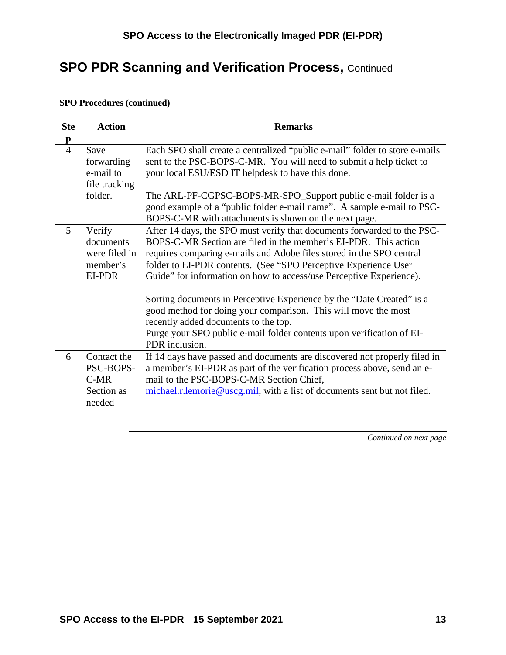## **SPO PDR Scanning and Verification Process, Continued**

### **SPO Procedures (continued)**

| <b>Ste</b>     | <b>Action</b>                                               | <b>Remarks</b>                                                                                                                                                                                                                                                                                                                                                                                                                                                                                                                                                                                                                             |
|----------------|-------------------------------------------------------------|--------------------------------------------------------------------------------------------------------------------------------------------------------------------------------------------------------------------------------------------------------------------------------------------------------------------------------------------------------------------------------------------------------------------------------------------------------------------------------------------------------------------------------------------------------------------------------------------------------------------------------------------|
| $\mathbf{p}$   |                                                             |                                                                                                                                                                                                                                                                                                                                                                                                                                                                                                                                                                                                                                            |
| $\overline{4}$ | Save<br>forwarding<br>e-mail to<br>file tracking<br>folder. | Each SPO shall create a centralized "public e-mail" folder to store e-mails<br>sent to the PSC-BOPS-C-MR. You will need to submit a help ticket to<br>your local ESU/ESD IT helpdesk to have this done.<br>The ARL-PF-CGPSC-BOPS-MR-SPO_Support public e-mail folder is a<br>good example of a "public folder e-mail name". A sample e-mail to PSC-                                                                                                                                                                                                                                                                                        |
|                |                                                             | BOPS-C-MR with attachments is shown on the next page.                                                                                                                                                                                                                                                                                                                                                                                                                                                                                                                                                                                      |
| 5              | Verify<br>documents<br>were filed in<br>member's<br>EI-PDR  | After 14 days, the SPO must verify that documents forwarded to the PSC-<br>BOPS-C-MR Section are filed in the member's EI-PDR. This action<br>requires comparing e-mails and Adobe files stored in the SPO central<br>folder to EI-PDR contents. (See "SPO Perceptive Experience User<br>Guide" for information on how to access/use Perceptive Experience).<br>Sorting documents in Perceptive Experience by the "Date Created" is a<br>good method for doing your comparison. This will move the most<br>recently added documents to the top.<br>Purge your SPO public e-mail folder contents upon verification of EI-<br>PDR inclusion. |
| 6              | Contact the<br>PSC-BOPS-<br>$C-MR$<br>Section as<br>needed  | If 14 days have passed and documents are discovered not properly filed in<br>a member's EI-PDR as part of the verification process above, send an e-<br>mail to the PSC-BOPS-C-MR Section Chief,<br>michael.r.lemorie@uscg.mil, with a list of documents sent but not filed.                                                                                                                                                                                                                                                                                                                                                               |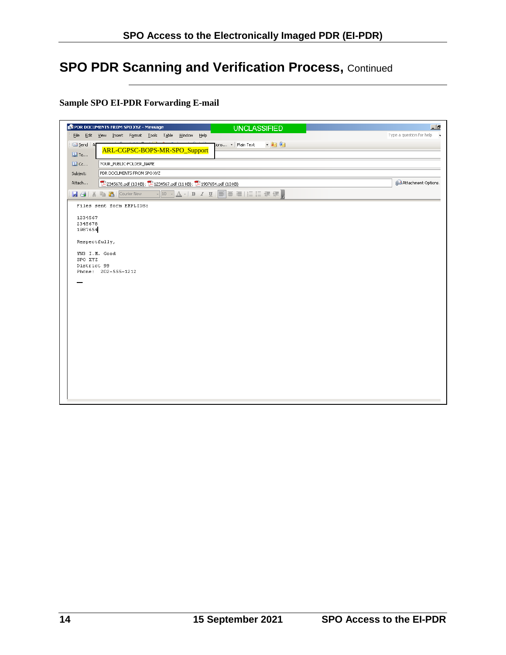## **SPO PDR Scanning and Verification Process, Continued**

**Sample SPO EI-PDR Forwarding E-mail**

| PDR DOCUMENTS FROM SPO XYZ - Message                                          | <b>UNCLASSIFIED</b>             | $\Box$ e                       |
|-------------------------------------------------------------------------------|---------------------------------|--------------------------------|
| File Edit View Insert Format Tools Table Window Help                          |                                 | Type a question for help       |
| El Send   A<br>ARL-CGPSC-BOPS-MR-SPO_Support<br>№ То                          | $-33 - 2$<br>tions - Plain Text |                                |
| <b>EE</b> Cc<br>YOUR_PUBLIC-FOLDER_NAME                                       |                                 |                                |
| PDR DOCUMENTS FROM SPO XYZ<br>Subject:                                        |                                 |                                |
| [ 2345678.pdf (10 KB); [ 1234567.pdf (11 KB); [ 1987654.pdf (10 KB)<br>Attach |                                 | <b>III</b> Attachment Options. |
| <b>B B</b> Courier New<br>$H \oplus K$                                        |                                 |                                |
| Files sent form EMPLIDS:                                                      |                                 |                                |
| 1234567<br>2345678                                                            |                                 |                                |
| 1987654                                                                       |                                 |                                |
| Respectfully,                                                                 |                                 |                                |
| YN3 I.M. Good                                                                 |                                 |                                |
| SPO XYZ<br>District 99                                                        |                                 |                                |
| Phone: 202-555-1212                                                           |                                 |                                |
|                                                                               |                                 |                                |
|                                                                               |                                 |                                |
|                                                                               |                                 |                                |
|                                                                               |                                 |                                |
|                                                                               |                                 |                                |
|                                                                               |                                 |                                |
|                                                                               |                                 |                                |
|                                                                               |                                 |                                |
|                                                                               |                                 |                                |
|                                                                               |                                 |                                |
|                                                                               |                                 |                                |
|                                                                               |                                 |                                |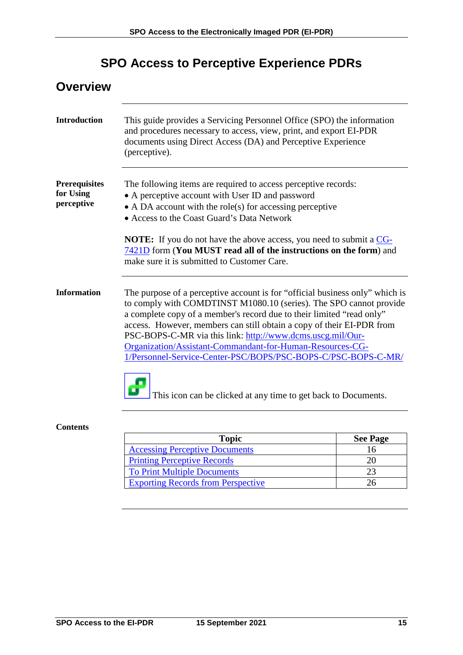## **SPO Access to Perceptive Experience PDRs**

### **Overview**

| <b>Introduction</b>                             | This guide provides a Servicing Personnel Office (SPO) the information<br>and procedures necessary to access, view, print, and export EI-PDR<br>documents using Direct Access (DA) and Perceptive Experience<br>(perceptive).                                                                                                                                                                                                                                                                    |                 |  |  |
|-------------------------------------------------|--------------------------------------------------------------------------------------------------------------------------------------------------------------------------------------------------------------------------------------------------------------------------------------------------------------------------------------------------------------------------------------------------------------------------------------------------------------------------------------------------|-----------------|--|--|
| <b>Prerequisites</b><br>for Using<br>perceptive | The following items are required to access perceptive records:<br>• A perceptive account with User ID and password<br>$\bullet$ A DA account with the role(s) for accessing perceptive<br>• Access to the Coast Guard's Data Network                                                                                                                                                                                                                                                             |                 |  |  |
|                                                 | <b>NOTE:</b> If you do not have the above access, you need to submit a CG-<br>7421D form (You MUST read all of the instructions on the form) and<br>make sure it is submitted to Customer Care.                                                                                                                                                                                                                                                                                                  |                 |  |  |
| <b>Information</b>                              | The purpose of a perceptive account is for "official business only" which is<br>to comply with COMDTINST M1080.10 (series). The SPO cannot provide<br>a complete copy of a member's record due to their limited "read only"<br>access. However, members can still obtain a copy of their EI-PDR from<br>PSC-BOPS-C-MR via this link: http://www.dcms.uscg.mil/Our-<br>Organization/Assistant-Commandant-for-Human-Resources-CG-<br>1/Personnel-Service-Center-PSC/BOPS/PSC-BOPS-C/PSC-BOPS-C-MR/ |                 |  |  |
|                                                 | This icon can be clicked at any time to get back to Documents.                                                                                                                                                                                                                                                                                                                                                                                                                                   |                 |  |  |
| <b>Contents</b>                                 |                                                                                                                                                                                                                                                                                                                                                                                                                                                                                                  |                 |  |  |
|                                                 | <b>Topic</b>                                                                                                                                                                                                                                                                                                                                                                                                                                                                                     | <b>See Page</b> |  |  |
|                                                 | <b>Accessing Perceptive Documents</b>                                                                                                                                                                                                                                                                                                                                                                                                                                                            | 16              |  |  |
|                                                 | <b>Printing Perceptive Records</b>                                                                                                                                                                                                                                                                                                                                                                                                                                                               | 20              |  |  |

To [Print Multiple Documents](#page-22-0) 23 [Exporting Records from Perspective](#page-25-0) 26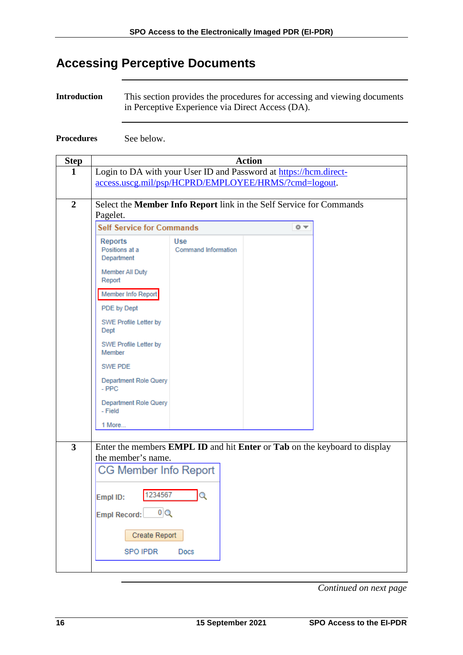## <span id="page-15-0"></span>**Accessing Perceptive Documents**

**Introduction** This section provides the procedures for accessing and viewing documents in Perceptive Experience via Direct Access (DA).

**Procedures** See below.

| <b>Step</b>             |                                                                                                 |                                   | <b>Action</b> |  |  |  |  |
|-------------------------|-------------------------------------------------------------------------------------------------|-----------------------------------|---------------|--|--|--|--|
| 1                       | Login to DA with your User ID and Password at https://hcm.direct-                               |                                   |               |  |  |  |  |
|                         | access.uscg.mil/psp/HCPRD/EMPLOYEE/HRMS/?cmd=logout.                                            |                                   |               |  |  |  |  |
|                         |                                                                                                 |                                   |               |  |  |  |  |
| $\overline{2}$          | Select the Member Info Report link in the Self Service for Commands                             |                                   |               |  |  |  |  |
|                         | Pagelet.                                                                                        |                                   |               |  |  |  |  |
|                         | <b>Self Service for Commands</b>                                                                |                                   | 章マ            |  |  |  |  |
|                         | <b>Reports</b><br>Positions at a<br>Department                                                  | Use<br><b>Command Information</b> |               |  |  |  |  |
|                         | Member All Duty<br>Report                                                                       |                                   |               |  |  |  |  |
|                         | Member Info Report<br>PDE by Dept                                                               |                                   |               |  |  |  |  |
|                         |                                                                                                 |                                   |               |  |  |  |  |
|                         | SWE Profile Letter by<br>Dept                                                                   |                                   |               |  |  |  |  |
|                         | SWE Profile Letter by<br>Member                                                                 |                                   |               |  |  |  |  |
|                         | <b>SWE PDE</b>                                                                                  |                                   |               |  |  |  |  |
|                         | Department Role Query<br>- PPC                                                                  |                                   |               |  |  |  |  |
|                         | Department Role Query<br>- Field                                                                |                                   |               |  |  |  |  |
|                         | 1 More                                                                                          |                                   |               |  |  |  |  |
| $\overline{\mathbf{3}}$ |                                                                                                 |                                   |               |  |  |  |  |
|                         | Enter the members EMPL ID and hit Enter or Tab on the keyboard to display<br>the member's name. |                                   |               |  |  |  |  |
|                         |                                                                                                 |                                   |               |  |  |  |  |
|                         | <b>CG Member Info Report</b>                                                                    |                                   |               |  |  |  |  |
|                         | 1234567<br>Empl ID:                                                                             |                                   |               |  |  |  |  |
|                         | 0Q<br>Empl Record:                                                                              |                                   |               |  |  |  |  |
|                         | Create Report                                                                                   |                                   |               |  |  |  |  |
|                         |                                                                                                 |                                   |               |  |  |  |  |
|                         | <b>SPO IPDR</b>                                                                                 | <b>Docs</b>                       |               |  |  |  |  |
|                         |                                                                                                 |                                   |               |  |  |  |  |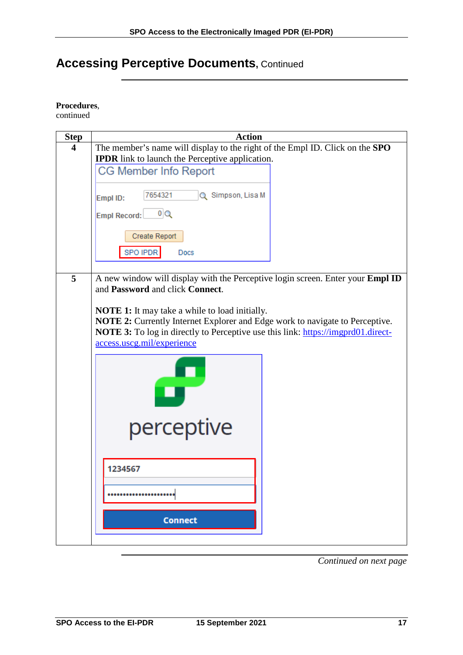## **Accessing Perceptive Documents, Continued**

### **Procedures**,

continued

| <b>Step</b> | <b>Action</b>                                                                           |
|-------------|-----------------------------------------------------------------------------------------|
| 4           | The member's name will display to the right of the Empl ID. Click on the SPO            |
|             | <b>IPDR</b> link to launch the Perceptive application.                                  |
|             | <b>CG Member Info Report</b>                                                            |
|             |                                                                                         |
|             | 7654321<br><b>Q</b> Simpson, Lisa M<br>Empl ID:                                         |
|             |                                                                                         |
|             | 0 Q <br><b>Empl Record:</b>                                                             |
|             |                                                                                         |
|             | Create Report                                                                           |
|             | SPO IPDR<br><b>Docs</b>                                                                 |
|             |                                                                                         |
| 5           | A new window will display with the Perceptive login screen. Enter your <b>Empl ID</b>   |
|             | and Password and click Connect.                                                         |
|             |                                                                                         |
|             | <b>NOTE 1:</b> It may take a while to load initially.                                   |
|             | <b>NOTE 2:</b> Currently Internet Explorer and Edge work to navigate to Perceptive.     |
|             | <b>NOTE 3:</b> To log in directly to Perceptive use this link: https://imgprd01.direct- |
|             | access.uscg.mil/experience                                                              |
|             |                                                                                         |
|             |                                                                                         |
|             |                                                                                         |
|             |                                                                                         |
|             |                                                                                         |
|             |                                                                                         |
|             | perceptive                                                                              |
|             |                                                                                         |
|             |                                                                                         |
|             |                                                                                         |
|             | 1234567                                                                                 |
|             |                                                                                         |
|             |                                                                                         |
|             |                                                                                         |
|             | <b>Connect</b>                                                                          |
|             |                                                                                         |
|             |                                                                                         |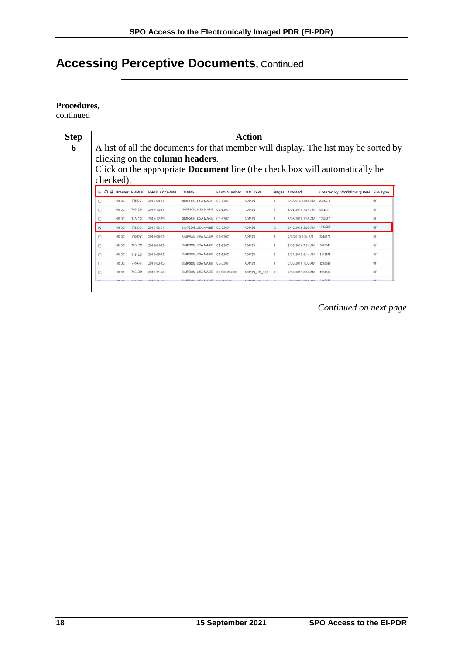## **Accessing Perceptive Documents, Continued**

### **Procedures**,

continued

| <b>Step</b> |                |                           |               |                                         |                             |             | Action        |                       |                                                                                                                                                                           |     |
|-------------|----------------|---------------------------|---------------|-----------------------------------------|-----------------------------|-------------|---------------|-----------------------|---------------------------------------------------------------------------------------------------------------------------------------------------------------------------|-----|
| 6           |                | checked).                 |               | clicking on the <b>column headers</b> . |                             |             |               |                       | A list of all the documents for that member will display. The list may be sorted by<br>Click on the appropriate <b>Document</b> line (the check box will automatically be |     |
|             |                | <b>Q ii</b> Drawer EMPLID |               | $\overline{ }$<br>EFFDT YYYY-MM         | <b>NAME</b>                 | Form Number | DOC TYPE      | Pages Created         | Created By Workflow Queue File Type                                                                                                                                       |     |
|             |                | HR DC                     | 7654321       | 2016-04-13                              | SIMPSON, LISA MARIE CG-3307 |             | <b>ADMIN</b>  | 9/1/2016 11:55 AM     | 2345678                                                                                                                                                                   | tif |
|             |                | HR DC                     | 7654321       | 2015-12-31                              | SIMPSON, LISA MARIE CG-3307 |             | <b>ADMIN</b>  | 8/26/2016 7:34 AM     | 1234567                                                                                                                                                                   | tif |
|             |                | HR DC                     | 7654321       | 2015-12-19                              | SIMPSON USA MARIE (G-3307   |             | <b>ADMIN</b>  | 8/26/2016 7:33 AM     | 1234567                                                                                                                                                                   | tίf |
|             | $\overline{a}$ | HR DC                     | 7654321       | 2015-06-04                              | SIMPSON, LISA MARIE CG-3307 |             | <b>ADMIN</b>  | 6/18/2015 3:29 AM     | 1234567                                                                                                                                                                   | tif |
|             |                | HR DC                     | 7654321       | 2015-06-03                              | SIMPSON, LISA MARIE CG-3307 |             | <b>ADMIN</b>  | 7/9/2015 2:34 AM      | 2345678                                                                                                                                                                   | tif |
|             |                | HR DC                     | 7654321       | 2015-04-13                              | SIMPSON, LISA MARIE CG-3307 |             | <b>ADMIN</b>  | 8/26/2016 7:34 AM     | 9876543                                                                                                                                                                   | tif |
|             | O              | HR DC                     | 7654321       | 2015-03-12                              | SIMPSON, LISA MARIE CG-3307 |             | ADMIN         | 3/31/2015 6:14 AM     | 2346678                                                                                                                                                                   | tif |
|             | Ω              | HR DC                     | 7654321       | 2013-03-15                              | SIMPSON, LISA MARIE         | CG-3307     | <b>ADMIN</b>  | 8/26/2016 7:33 AM     | 1234567                                                                                                                                                                   | tif |
|             |                | HR DC                     | 765432        | 2012-11-20                              | SIMPSON, LISA MARIE         | CGPSC-2020D | ADMIN NO BRD  | 7/30/2013 8:55 AM     | 1234567                                                                                                                                                                   | tif |
|             |                | <b>LID-BA</b>             | <b>BARANA</b> | 10011-01-02                             | PHIDOON LIPS MADE CRILLANAS |             | ADAMA AUG BRO | <b>BIRDINARDIZALE</b> | 721670                                                                                                                                                                    |     |
|             |                |                           |               |                                         |                             |             |               |                       |                                                                                                                                                                           |     |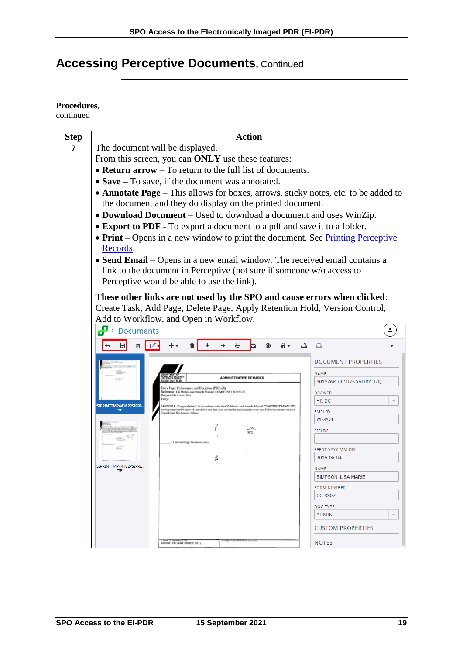## **Accessing Perceptive Documents, Continued**

### **Procedures**,

continued

| <b>Step</b> | <b>Action</b>                                                                                                                                                                                                                                                                  |                               |  |  |  |  |  |  |
|-------------|--------------------------------------------------------------------------------------------------------------------------------------------------------------------------------------------------------------------------------------------------------------------------------|-------------------------------|--|--|--|--|--|--|
| 7           | The document will be displayed.                                                                                                                                                                                                                                                |                               |  |  |  |  |  |  |
|             | From this screen, you can ONLY use these features:                                                                                                                                                                                                                             |                               |  |  |  |  |  |  |
|             | • Return arrow – To return to the full list of documents.                                                                                                                                                                                                                      |                               |  |  |  |  |  |  |
|             | • Save – To save, if the document was annotated.                                                                                                                                                                                                                               |                               |  |  |  |  |  |  |
|             | • Annotate Page – This allows for boxes, arrows, sticky notes, etc. to be added to                                                                                                                                                                                             |                               |  |  |  |  |  |  |
|             | the document and they do display on the printed document.                                                                                                                                                                                                                      |                               |  |  |  |  |  |  |
|             | • Download Document - Used to download a document and uses WinZip.                                                                                                                                                                                                             |                               |  |  |  |  |  |  |
|             | • Export to PDF - To export a document to a pdf and save it to a folder.                                                                                                                                                                                                       |                               |  |  |  |  |  |  |
|             | • Print – Opens in a new window to print the document. See Printing Perceptive                                                                                                                                                                                                 |                               |  |  |  |  |  |  |
|             | Records.                                                                                                                                                                                                                                                                       |                               |  |  |  |  |  |  |
|             | • Send Email – Opens in a new email window. The received email contains a                                                                                                                                                                                                      |                               |  |  |  |  |  |  |
|             | link to the document in Perceptive (not sure if someone w/o access to                                                                                                                                                                                                          |                               |  |  |  |  |  |  |
|             | Perceptive would be able to use the link).                                                                                                                                                                                                                                     |                               |  |  |  |  |  |  |
|             |                                                                                                                                                                                                                                                                                |                               |  |  |  |  |  |  |
|             | These other links are not used by the SPO and cause errors when clicked:                                                                                                                                                                                                       |                               |  |  |  |  |  |  |
|             | Create Task, Add Page, Delete Page, Apply Retention Hold, Version Control,                                                                                                                                                                                                     |                               |  |  |  |  |  |  |
|             | Add to Workflow, and Open in Workflow.                                                                                                                                                                                                                                         |                               |  |  |  |  |  |  |
|             | $\bullet$ > Documents                                                                                                                                                                                                                                                          |                               |  |  |  |  |  |  |
|             | ÷<br>囪<br> →<br>А т                                                                                                                                                                                                                                                            | 凸<br>≏                        |  |  |  |  |  |  |
|             |                                                                                                                                                                                                                                                                                |                               |  |  |  |  |  |  |
|             |                                                                                                                                                                                                                                                                                | DOCUMENT PROPERTIES           |  |  |  |  |  |  |
|             | <b>ADMINISTRATIVE REMARKS</b>                                                                                                                                                                                                                                                  | <b>NAME</b>                   |  |  |  |  |  |  |
|             | Intry Type: Performance and Discipline (P&D-26)<br>Reference: CG Medals and Awards Manual, COMDTINST M1650.25                                                                                                                                                                  | 301YZ6K_001R7NXVL00107Q       |  |  |  |  |  |  |
|             | Responsible Level: Unit                                                                                                                                                                                                                                                        | <b>DRAWER</b><br>HR DC        |  |  |  |  |  |  |
|             | SIPRINTTMP44182PSIPRI.<br>04JUN2015: Congratulations! In accordance with the CG Medals and Awards Manual COMDTINST M1650.25D,<br>ving completed 4 years of cumulative sea duty, you are hereby authorized to wear one 3/16th bronze star<br>TIF<br>d Guard Sea Service Ribbon. | <b>EMPLID</b>                 |  |  |  |  |  |  |
|             |                                                                                                                                                                                                                                                                                | 7654321                       |  |  |  |  |  |  |
|             | $\iota$ or<br><b>SCG</b>                                                                                                                                                                                                                                                       | FIELD <sub>2</sub>            |  |  |  |  |  |  |
|             | I acknowledge the above entry                                                                                                                                                                                                                                                  |                               |  |  |  |  |  |  |
|             |                                                                                                                                                                                                                                                                                | EFFDT YYYY-MM-DD              |  |  |  |  |  |  |
|             | ź                                                                                                                                                                                                                                                                              | 2015-06-04                    |  |  |  |  |  |  |
|             | SIPRINTTMP44182PSIPRI<br>TIF                                                                                                                                                                                                                                                   | NAME                          |  |  |  |  |  |  |
|             |                                                                                                                                                                                                                                                                                | SIMPSON, LISA MARIE           |  |  |  |  |  |  |
|             |                                                                                                                                                                                                                                                                                | <b>FORM NUMBER</b><br>CG-3307 |  |  |  |  |  |  |
|             |                                                                                                                                                                                                                                                                                | DOC TYPE                      |  |  |  |  |  |  |
|             |                                                                                                                                                                                                                                                                                | ADMIN                         |  |  |  |  |  |  |
|             |                                                                                                                                                                                                                                                                                | <b>CUSTOM PROPERTIES</b>      |  |  |  |  |  |  |
|             |                                                                                                                                                                                                                                                                                |                               |  |  |  |  |  |  |
|             | 2. NAME OF UNIT PREPARING THIS FORM<br>USCGC VALIANT (WMEC 621)                                                                                                                                                                                                                | <b>NOTES</b>                  |  |  |  |  |  |  |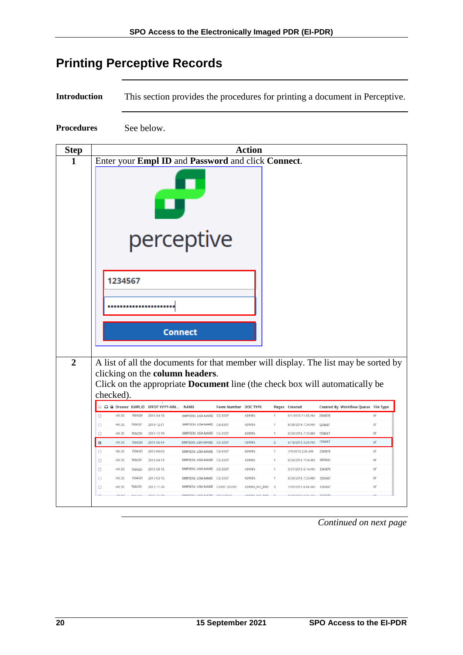## <span id="page-19-0"></span>**Printing Perceptive Records**

**Introduction** This section provides the procedures for printing a document in Perceptive.

**Procedures** See below.

| <b>Step</b>    | <b>Action</b> |           |         |                                 |                                                               |                      |                                        |                |                                                    |                                                                                                                                                                           |     |
|----------------|---------------|-----------|---------|---------------------------------|---------------------------------------------------------------|----------------------|----------------------------------------|----------------|----------------------------------------------------|---------------------------------------------------------------------------------------------------------------------------------------------------------------------------|-----|
| 1              |               |           |         |                                 | Enter your Empl ID and Password and click Connect.            |                      |                                        |                |                                                    |                                                                                                                                                                           |     |
|                |               |           |         |                                 |                                                               |                      |                                        |                |                                                    |                                                                                                                                                                           |     |
|                |               |           |         |                                 | perceptive                                                    |                      |                                        |                |                                                    |                                                                                                                                                                           |     |
|                |               | 1234567   |         |                                 |                                                               |                      |                                        |                |                                                    |                                                                                                                                                                           |     |
|                |               |           |         |                                 |                                                               |                      |                                        |                |                                                    |                                                                                                                                                                           |     |
|                |               |           |         |                                 |                                                               |                      |                                        |                |                                                    |                                                                                                                                                                           |     |
|                |               |           |         |                                 | <b>Connect</b>                                                |                      |                                        |                |                                                    |                                                                                                                                                                           |     |
| $\overline{2}$ |               |           |         |                                 |                                                               |                      |                                        |                |                                                    |                                                                                                                                                                           |     |
|                |               | checked). |         |                                 | clicking on the column headers.                               |                      |                                        |                |                                                    | A list of all the documents for that member will display. The list may be sorted by<br>Click on the appropriate <b>Document</b> line (the check box will automatically be |     |
|                | G             |           |         | A B Drawer EMPLID EFFDT YYYY-MM | <b>NAME</b>                                                   | Form Number DOC TYPE |                                        |                | Pages Created                                      | Created By Workflow Queue File Type                                                                                                                                       |     |
|                | o             | HR DC     | 7654321 | 2016-04-13                      | SIMPSON, LISA MARIE CG-3307                                   |                      | <b>ADMIN</b>                           |                | 9/1/2016 11:55 AM                                  | 2345678                                                                                                                                                                   | tif |
|                | O             | HR DC     | 7654321 | 2015-12-31                      | SIMPSON, LISA MARIE CG-3307                                   |                      | ADMIN                                  |                | 8/26/2016 7:34 AM                                  | 1234567                                                                                                                                                                   | tif |
|                | o             | HR DC     | 7654321 | 2015-12-19                      | SIMPSON, LISA MARIE CG-3307                                   |                      | ADMIN                                  | ÷              | 8/26/2016 7:33 AM 1234567                          |                                                                                                                                                                           | tif |
|                | 國             | HR DC     | 7654321 | 2015-06-04                      | SIMPSON, LISA MARIE CG-3307                                   |                      | ADMIN                                  | $\overline{2}$ | 6/18/2015 3:29 AM 1234567                          |                                                                                                                                                                           | tif |
|                | o             | HR DC     | 7654321 | 2015-06-03                      | SIMPSON, LISA MARIE CG-3307                                   |                      | ADMIN                                  | 1              | 7/9/2015 2:34 AM                                   | 2345678                                                                                                                                                                   | tif |
|                | o             | HR DC     | 7654321 | 2015-04-13                      | SIMPSON, LISA MARIE CG-3307                                   |                      | <b>ADMIN</b>                           |                | 8/26/2016 7:34 AM                                  | 9876543                                                                                                                                                                   | tif |
|                | o             | HR DC     | 7664321 | 2015-03-12                      | SIMPSON, LISA MARIE CG-3307                                   |                      | <b>ADMIN</b>                           |                | 3/31/2015 6:14 AM 2345678                          |                                                                                                                                                                           | tif |
|                | $\Box$        | HR DC     | 7654321 | 2013-03-15                      | SIMPSON, LISA MARIE CG-3307                                   |                      | ADMIN                                  |                | 8/26/2016 7:33 AM                                  | 1234567                                                                                                                                                                   | tif |
|                | o             | HR DC     | 7654321 | 2012-11-20<br>5545-44-56        | SIMPSON, LISA MARIE CGPSC-2020D<br>PRIDOOL LIDA MADE CALLANAE |                      | ADMIN_NO_BRD 2<br><b>ABANALAIR BRA</b> |                | 7/30/2013 8:56 AM<br><b>BRAINANA ALC AND ANGER</b> | 1234567                                                                                                                                                                   | tif |
|                |               |           |         |                                 |                                                               |                      |                                        |                |                                                    |                                                                                                                                                                           |     |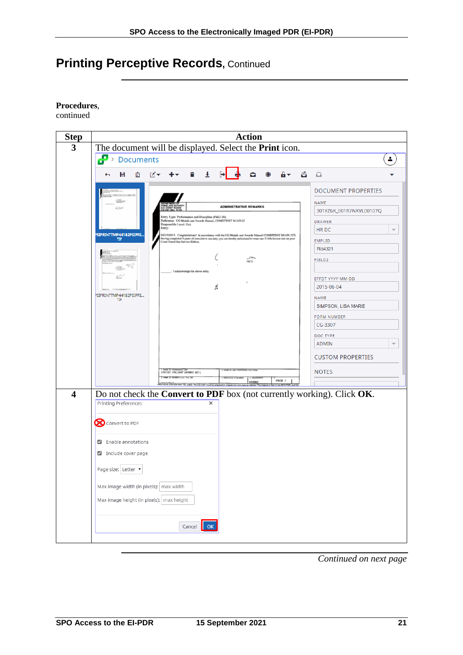### **Printing Perceptive Records, Continued**

### **Procedures**,

continued

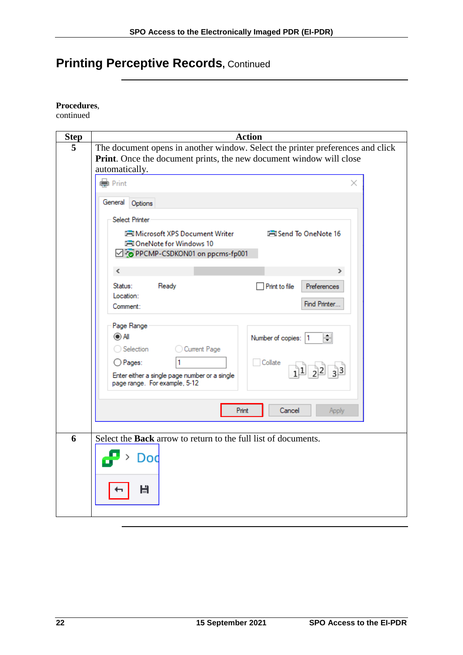## **Printing Perceptive Records, Continued**

### **Procedures**,

continued

| <b>Step</b> | <b>Action</b>                                                                                                                                                           |
|-------------|-------------------------------------------------------------------------------------------------------------------------------------------------------------------------|
| 5           | The document opens in another window. Select the printer preferences and click<br>Print. Once the document prints, the new document window will close<br>automatically. |
|             | <b>Print</b><br>×                                                                                                                                                       |
|             | General<br>Options                                                                                                                                                      |
|             | <b>Select Printer</b><br><b>FI Microsoft XPS Document Writer</b><br><b>El Send To OneNote 16</b>                                                                        |
|             | <b>I-DOneNote for Windows 10</b><br>PPCMP-CSDKON01 on ppcms-fp001                                                                                                       |
|             | $\rightarrow$<br>∢<br>Status:<br>Ready<br>Print to file<br>Preferences<br>Location:<br>Find Printer                                                                     |
|             | Comment:<br>Page Range                                                                                                                                                  |
|             | $\odot$ All<br>╣<br>Number of copies: 1<br>◯ Selection<br>Current Page<br>$\bigcirc$ Pages:<br>Collate<br>1                                                             |
|             | $\frac{1}{1}$<br>3 <sup>3</sup><br>$\overline{2}$<br>Enter either a single page number or a single<br>page range. For example, 5-12                                     |
|             | Print<br>Cancel<br>Apply                                                                                                                                                |
| 6           | Select the Back arrow to return to the full list of documents.<br>Doc                                                                                                   |
|             | 닙                                                                                                                                                                       |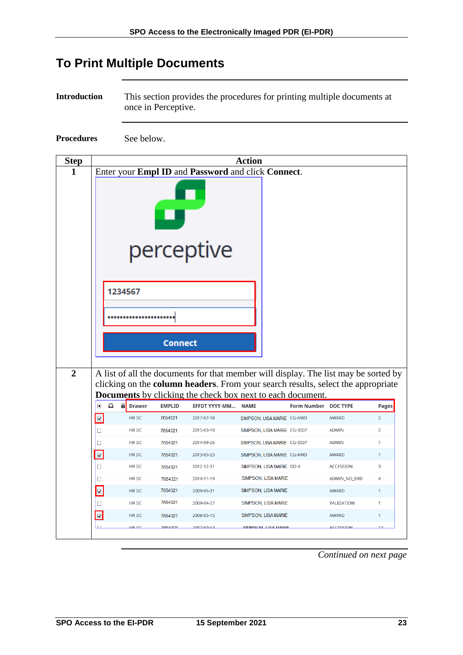### <span id="page-22-0"></span>**To Print Multiple Documents**

**Introduction** This section provides the procedures for printing multiple documents at once in Perceptive.

| <b>Procedures</b> | See below. |
|-------------------|------------|
|                   |            |

| <b>Step</b>    |                                 |         |                |                                                                                                                                                                                                                                              | <b>Action</b>               |                      |                  |                |
|----------------|---------------------------------|---------|----------------|----------------------------------------------------------------------------------------------------------------------------------------------------------------------------------------------------------------------------------------------|-----------------------------|----------------------|------------------|----------------|
| 1              |                                 |         |                | Enter your Empl ID and Password and click Connect.                                                                                                                                                                                           |                             |                      |                  |                |
|                |                                 |         |                |                                                                                                                                                                                                                                              |                             |                      |                  |                |
|                |                                 |         |                | perceptive                                                                                                                                                                                                                                   |                             |                      |                  |                |
|                |                                 | 1234567 |                |                                                                                                                                                                                                                                              |                             |                      |                  |                |
|                |                                 |         |                |                                                                                                                                                                                                                                              |                             |                      |                  |                |
|                |                                 |         | <b>Connect</b> |                                                                                                                                                                                                                                              |                             |                      |                  |                |
| $\overline{2}$ |                                 |         |                | A list of all the documents for that member will display. The list may be sorted by<br>clicking on the column headers. From your search results, select the appropriate<br><b>Documents</b> by clicking the check box next to each document. |                             |                      |                  |                |
|                | $\Box$<br>$\blacksquare$        | Drawer  | <b>EMPLID</b>  | EFFDT YYYY-MM                                                                                                                                                                                                                                | <b>NAME</b>                 | Form Number DOC TYPE |                  | Pages          |
|                | $\overline{\textbf{v}}$         | HR DC   | 7654321        | 2017-07-18                                                                                                                                                                                                                                   | SIMPSON, LISA MARIE CG-AWD  |                      | AWARD            | $\overline{2}$ |
|                | □                               | HR DC   | 7654321        | 2015-03-19                                                                                                                                                                                                                                   | SIMPSON, LISA MARIE CG-3307 |                      | <b>ADMIN</b>     | 2              |
|                | П                               | HR DC   | 7654321        | 2014-09-26                                                                                                                                                                                                                                   | SIMPSON, LISA MARIE CG-3307 |                      | ADMIN            | 1              |
|                | $\blacktriangledown$            | HR DC   | 7654321        | 2013-05-23                                                                                                                                                                                                                                   | SIMPSON, LISA MARIE CG-AWD  |                      | AWARD            | $\mathbf{1}$   |
|                | □                               | HR DC   | 7654321        | 2012-12-31                                                                                                                                                                                                                                   | SIMPSON, LISA MARIE DD-4    |                      | ACCESSION        | 3              |
|                | П                               | HR DC   | 7654321        | 2010-11-19                                                                                                                                                                                                                                   | SIMPSON, LISA MARIE         |                      | ADMIN_NO_BRD     | 4              |
|                | $\blacktriangledown$            | HR DC   | 7654321        | 2009-05-31                                                                                                                                                                                                                                   | SIMPSON, LISA MARIE         |                      | AWARD            | $\mathbf{1}$   |
|                | $\Box$                          | HR DC   | 7654321        | 2009-04-27                                                                                                                                                                                                                                   | SIMPSON, LISA MARIE         |                      | VALIDATION       | 1              |
|                | $\overline{\blacktriangledown}$ | HR DC   | 7654321        | 2008-05-15                                                                                                                                                                                                                                   | SIMPSON, LISA MARIE         |                      | AWARD            | $\mathbf{1}$   |
|                |                                 | HR DC   | 7654321        | 2007-03-13                                                                                                                                                                                                                                   | SIMPSON LISA MARIE          |                      | <b>ACCESSION</b> | 17             |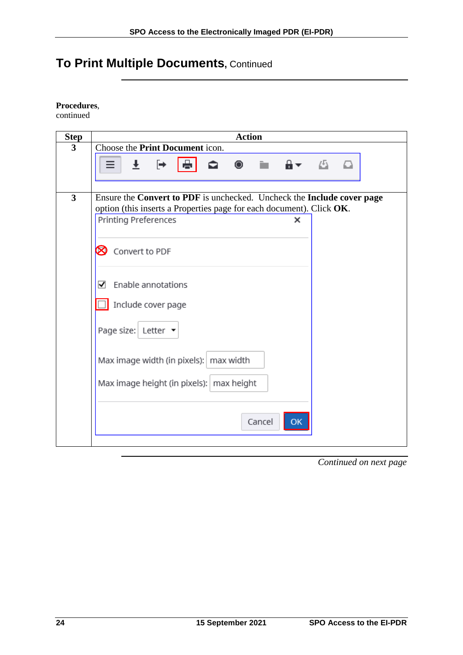## **To Print Multiple Documents,** Continued

**Procedures**,

continued

| <b>Step</b>             | <b>Action</b>                                                                                                                                  |
|-------------------------|------------------------------------------------------------------------------------------------------------------------------------------------|
| $\overline{\mathbf{3}}$ | Choose the Print Document icon.                                                                                                                |
|                         | 181 Q I<br>$\mapsto$<br>$\bullet$ in $\bullet$<br>凸<br>┧▼<br>▵                                                                                 |
| $\overline{\mathbf{3}}$ | Ensure the Convert to PDF is unchecked. Uncheck the Include cover page<br>option (this inserts a Properties page for each document). Click OK. |
|                         | Printing Preferences<br>×                                                                                                                      |
|                         | $\bm{\boxtimes}$<br>Convert to PDF                                                                                                             |
|                         | Enable annotations<br>✓                                                                                                                        |
|                         | Include cover page                                                                                                                             |
|                         | Page size: Letter $\blacktriangleright$                                                                                                        |
|                         | Max image width (in pixels):   max width                                                                                                       |
|                         | Max image height (in pixels): max height                                                                                                       |
|                         | Cancel<br>OK                                                                                                                                   |

*Continued on next page*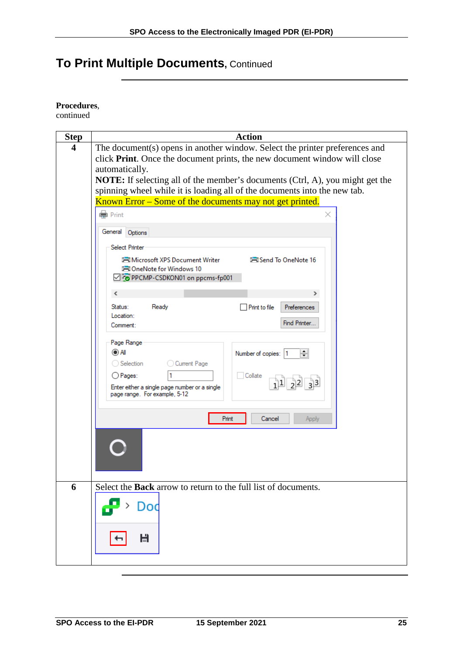## **To Print Multiple Documents,** Continued

### **Procedures**,

continued

| <b>Step</b> | <b>Action</b>                                                                                                                                                                                                                                                      |
|-------------|--------------------------------------------------------------------------------------------------------------------------------------------------------------------------------------------------------------------------------------------------------------------|
| 4           | The document(s) opens in another window. Select the printer preferences and<br>click Print. Once the document prints, the new document window will close<br>automatically.<br><b>NOTE:</b> If selecting all of the member's documents (Ctrl, A), you might get the |
|             | spinning wheel while it is loading all of the documents into the new tab.<br>Known Error – Some of the documents may not get printed.                                                                                                                              |
|             | <b>Print</b><br>×                                                                                                                                                                                                                                                  |
|             | General<br>Options                                                                                                                                                                                                                                                 |
|             | <b>Select Printer</b>                                                                                                                                                                                                                                              |
|             | <b>Fil Microsoft XPS Document Writer</b><br><b>Example 3 Send To OneNote 16</b><br><b>FilOneNote for Windows 10</b><br>PPCMP-CSDKON01 on ppcms-fp001                                                                                                               |
|             | ⋗                                                                                                                                                                                                                                                                  |
|             | Ready<br>Preferences<br>Status:<br>Print to file<br>Location:<br>Find Printer<br>Comment:                                                                                                                                                                          |
|             | Page Range<br>$^{\circledR}$ All<br>쉬<br>Number of copies: 1<br>◯ Selection<br>Current Page                                                                                                                                                                        |
|             | $\bigcirc$ Pages:<br>Collate<br>Enter either a single page number or a single<br>page range. For example, 5-12                                                                                                                                                     |
|             | Print<br>Cancel<br>Apply                                                                                                                                                                                                                                           |
|             |                                                                                                                                                                                                                                                                    |
| 6           | Select the <b>Back</b> arrow to return to the full list of documents.<br>⋋<br>Dod                                                                                                                                                                                  |
|             | 닙                                                                                                                                                                                                                                                                  |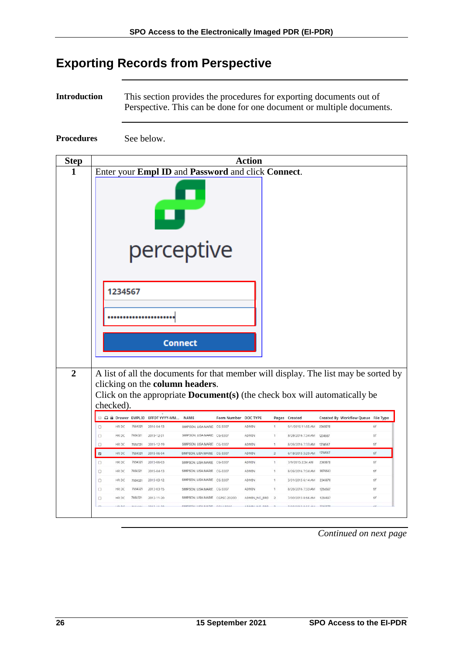## <span id="page-25-0"></span>**Exporting Records from Perspective**

**Introduction** This section provides the procedures for exporting documents out of Perspective. This can be done for one document or multiple documents.

| <b>Step</b>    | <b>Action</b>                                      |                |                    |                                 |                                                            |             |                      |                |                                        |                                                                                                                                                                          |            |
|----------------|----------------------------------------------------|----------------|--------------------|---------------------------------|------------------------------------------------------------|-------------|----------------------|----------------|----------------------------------------|--------------------------------------------------------------------------------------------------------------------------------------------------------------------------|------------|
| 1              | Enter your Empl ID and Password and click Connect. |                |                    |                                 |                                                            |             |                      |                |                                        |                                                                                                                                                                          |            |
|                |                                                    |                |                    |                                 |                                                            |             |                      |                |                                        |                                                                                                                                                                          |            |
|                |                                                    |                |                    |                                 | perceptive                                                 |             |                      |                |                                        |                                                                                                                                                                          |            |
|                |                                                    | 1234567        |                    |                                 |                                                            |             |                      |                |                                        |                                                                                                                                                                          |            |
|                |                                                    |                |                    |                                 |                                                            |             |                      |                |                                        |                                                                                                                                                                          |            |
|                |                                                    |                |                    |                                 |                                                            |             |                      |                |                                        |                                                                                                                                                                          |            |
|                |                                                    |                |                    |                                 |                                                            |             |                      |                |                                        |                                                                                                                                                                          |            |
|                |                                                    |                |                    |                                 | <b>Connect</b>                                             |             |                      |                |                                        |                                                                                                                                                                          |            |
|                |                                                    |                |                    |                                 |                                                            |             |                      |                |                                        |                                                                                                                                                                          |            |
| $\overline{2}$ |                                                    | checked).      |                    |                                 | clicking on the column headers.                            |             |                      |                |                                        | A list of all the documents for that member will display. The list may be sorted by<br>Click on the appropriate <b>Document</b> (s) (the check box will automatically be |            |
|                | $\Box$                                             |                |                    | A & Drawer EMPLID EFFDT YYYY-MM | <b>NAME</b>                                                | Form Number | DOC TYPE             |                | Pages Created                          | Created By Workflow Queue File Type                                                                                                                                      |            |
|                | $\Box$                                             | HR DC          | 7654321            | 2016-04-13                      | SIMPSON, LISA MARIE CG-3307                                |             | <b>ADMIN</b>         | 1              | 9/1/2016 11:55 AM                      | 2345678                                                                                                                                                                  | tif        |
|                | O<br>O                                             | HR DC<br>HR DC | 7654321            | 2015-12-31<br>2015-12-19        | SIMPSON, LISA MARIE CG-3307<br>SIMPSON, LISA MARIE CG-3307 |             | ADMIN<br>ADMIN       | 1              | 8/26/2016 7:34 AM<br>8/26/2016 7:33 AM | 1234567<br>1234567                                                                                                                                                       | tif<br>tif |
|                | 國                                                  | HR DC          | 7654321<br>7654321 | 2015-06-04                      | SIMPSON, LISA MARIE CG-3307                                |             | ADMIN                | $\overline{2}$ | 6/18/2015 3:29 AM                      | 1234567                                                                                                                                                                  | tif        |
|                | o                                                  | HR DC          | 7654321            | 2015-06-03                      | SIMPSON, LISA MARIE CG-3307                                |             | <b>ADMIN</b>         | 1              | 7/9/2015 2:34 AM                       | 2345678                                                                                                                                                                  | tif        |
|                | $\Box$                                             | HR DC          | 7654321            | 2015-04-13                      | SIMPSON, LISA MARIE CG-3307                                |             | ADMIN                |                | 8/26/2016 7:34 AM                      | 9876543                                                                                                                                                                  | tif        |
|                | o                                                  | HR DC          | 7654321            | 2015-03-12                      | SIMPSON, LISA MARIE CG-3307                                |             | <b>ADMIN</b>         | 1              | 3/31/2015 6:14 AM                      | 2345678                                                                                                                                                                  | tif        |
|                | $\Box$                                             | HR DC          | 7654321            | 2013-03-15                      | SIMPSON, LISA MARIE CG-3307                                |             | ADMIN                |                | 8/26/2016 7:33 AM                      | 1234567                                                                                                                                                                  | tif        |
|                | $\Box$                                             | HR DC          | 7654321            | 2012-11-20                      | SIMPSON, LISA MARIE CGPSC-2020D                            |             | ADMIN_NO_BRD         | $\frac{1}{2}$  | 7/30/2013 8:56 AM                      | 1234567                                                                                                                                                                  | tif        |
|                |                                                    | Lin.m.c        |                    | 5545-44-54                      | PRIDOVAL LIDA MADIC PALLIANAS                              |             | <b>ABARALAHA BBB</b> |                | <b>BARAGARALLA ALL GOLLET</b>          |                                                                                                                                                                          |            |
|                |                                                    |                |                    |                                 |                                                            |             |                      |                |                                        |                                                                                                                                                                          |            |

**Procedures** See below.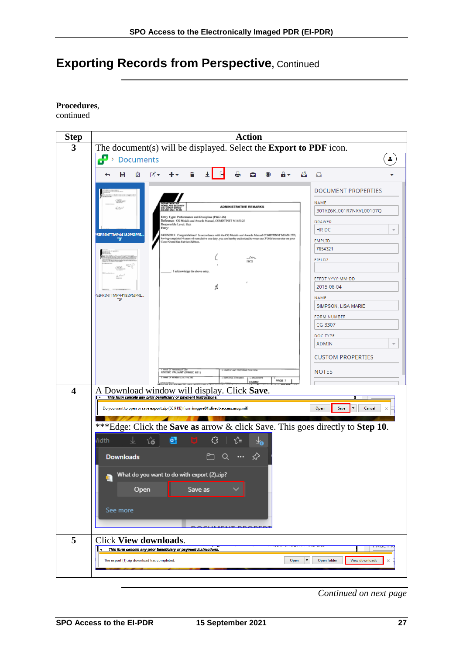### **Exporting Records from Perspective, Continued**

**Procedures**,

continued

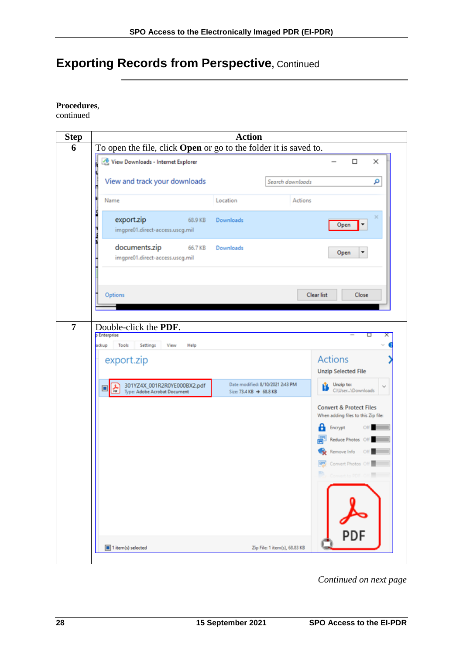## **Exporting Records from Perspective, Continued**

**Procedures**,

continued

| <b>Step</b>    | <b>Action</b>                                                                                                                                                                                                                                                                                                                                                                                                                                                                                                      |  |  |  |  |  |  |  |  |  |  |  |
|----------------|--------------------------------------------------------------------------------------------------------------------------------------------------------------------------------------------------------------------------------------------------------------------------------------------------------------------------------------------------------------------------------------------------------------------------------------------------------------------------------------------------------------------|--|--|--|--|--|--|--|--|--|--|--|
| 6              | To open the file, click Open or go to the folder it is saved to.                                                                                                                                                                                                                                                                                                                                                                                                                                                   |  |  |  |  |  |  |  |  |  |  |  |
|                | View Downloads - Internet Explorer<br>$\Box$<br>×                                                                                                                                                                                                                                                                                                                                                                                                                                                                  |  |  |  |  |  |  |  |  |  |  |  |
|                | View and track your downloads<br>Search downloads<br>م                                                                                                                                                                                                                                                                                                                                                                                                                                                             |  |  |  |  |  |  |  |  |  |  |  |
|                | Location<br>Name<br><b>Actions</b>                                                                                                                                                                                                                                                                                                                                                                                                                                                                                 |  |  |  |  |  |  |  |  |  |  |  |
|                | ×<br>export.zip<br>68.9 KB<br>Downloads<br>Open<br>imgpre01.direct-access.uscg.mil                                                                                                                                                                                                                                                                                                                                                                                                                                 |  |  |  |  |  |  |  |  |  |  |  |
|                | documents.zip<br>66.7 KB<br>Downloads<br>Open<br>▼<br>imgpre01.direct-access.uscg.mil                                                                                                                                                                                                                                                                                                                                                                                                                              |  |  |  |  |  |  |  |  |  |  |  |
|                | Close<br><b>Options</b><br><b>Clear list</b>                                                                                                                                                                                                                                                                                                                                                                                                                                                                       |  |  |  |  |  |  |  |  |  |  |  |
| $\overline{7}$ | Double-click the PDF.                                                                                                                                                                                                                                                                                                                                                                                                                                                                                              |  |  |  |  |  |  |  |  |  |  |  |
|                | p Enterprise<br>Tools<br>Settings<br>ackup<br>View<br>Help<br><b>Actions</b><br>export.zip<br><b>Unzip Selected File</b><br>Date modified: 8/10/2021 2:43 PM<br>Unzip to:<br>301YZ4X_001R2R0YE000BX2.pdf<br>⊡<br>I÷<br>C:\User\Downloads<br>Type: Adobe Acrobat Document<br>Size: 73.4 KB → 68.8 KB<br><b>Convert &amp; Protect Files</b><br>When adding files to this Zip file:<br>a<br>Encrypt<br>Off<br>Reduce Photos Off<br>Remove Info<br>Convert Photos Off<br><b>RAS</b><br>B.<br>Convert to DDC OIL<br>PDF |  |  |  |  |  |  |  |  |  |  |  |
|                | 1 item(s) selected<br>Zip File: 1 item(s), 68.83 KB                                                                                                                                                                                                                                                                                                                                                                                                                                                                |  |  |  |  |  |  |  |  |  |  |  |